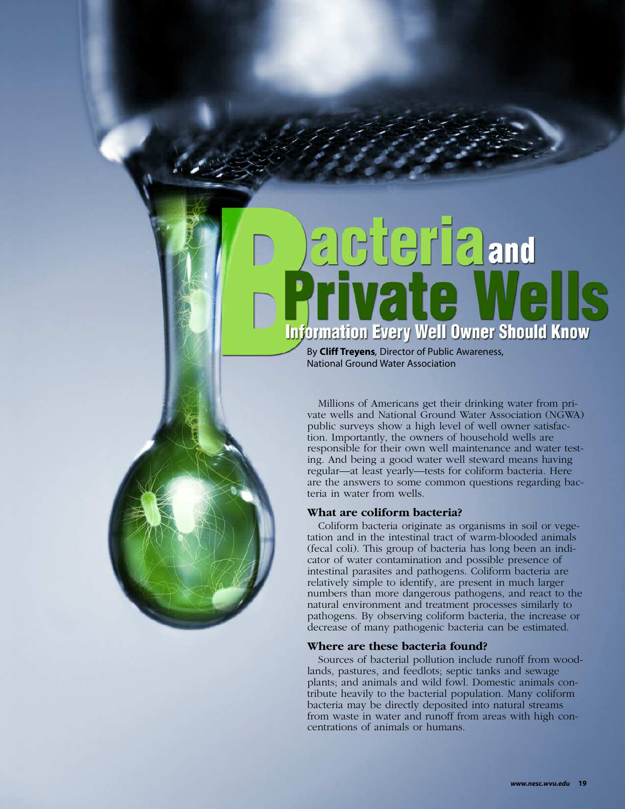# $\partial$  and  $\frac{1}{\sqrt{2}}$ **Information Every Well Owner Should Know**

By **Cliff Treyens***,* Director of Public Awareness, National Ground Water Association

Millions of Americans get their drinking water from private wells and National Ground Water Association (NGWA) public surveys show a high level of well owner satisfaction. Importantly, the owners of household wells are responsible for their own well maintenance and water testing. And being a good water well steward means having regular—at least yearly—tests for coliform bacteria. Here are the answers to some common questions regarding bacteria in water from wells.

### **What are coliform bacteria?**

Coliform bacteria originate as organisms in soil or vegetation and in the intestinal tract of warm-blooded animals (fecal coli). This group of bacteria has long been an indicator of water contamination and possible presence of intestinal parasites and pathogens. Coliform bacteria are relatively simple to identify, are present in much larger numbers than more dangerous pathogens, and react to the natural environment and treatment processes similarly to pathogens. By observing coliform bacteria, the increase or decrease of many pathogenic bacteria can be estimated.

#### **Where are these bacteria found?**

Sources of bacterial pollution include runoff from woodlands, pastures, and feedlots; septic tanks and sewage plants; and animals and wild fowl. Domestic animals contribute heavily to the bacterial population. Many coliform bacteria may be directly deposited into natural streams from waste in water and runoff from areas with high concentrations of animals or humans.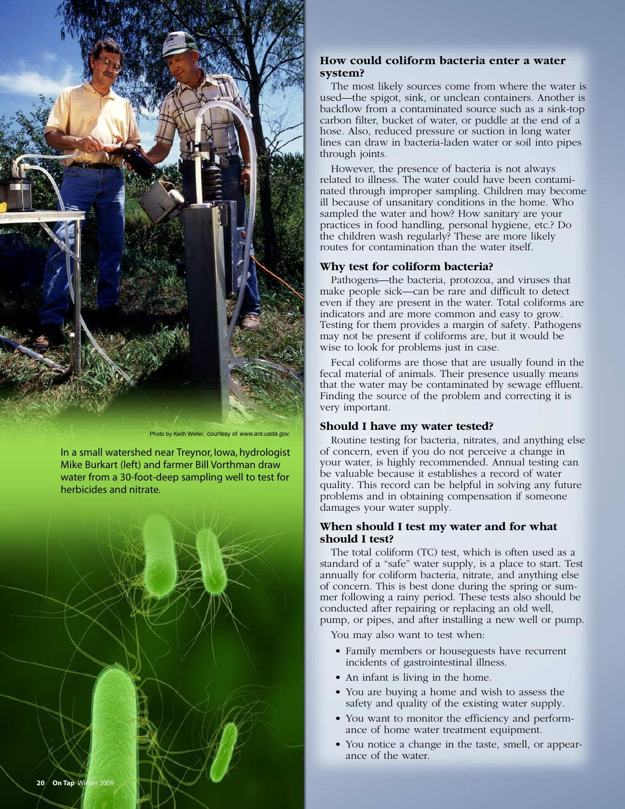

Photo by Keith Weller, courtesy of www.ars.usda.gov.

In a small watershed near Treynor, Iowa, hydrologist Mike Burkart (left) and farmer Bill Vorthman draw water from a 30-foot-deep sampling well to test for herbicides and nitrate.



#### **How could coliform bacteria enter a water system?**

The most likely sources come from where the water is used—the spigot, sink, or unclean containers. Another is backflow from a contaminated source such as a sink-top carbon filter, bucket of water, or puddle at the end of a hose. Also, reduced pressure or suction in long water lines can draw in bacteria-laden water or soil into pipes through joints.

However, the presence of bacteria is not always related to illness. The water could have been contaminated through improper sampling. Children may become ill because of unsanitary conditions in the home. Who sampled the water and how? How sanitary are your practices in food handling, personal hygiene, etc.? Do the children wash regularly? These are more likely routes for contamination than the water itself.

### **Why test for coliform bacteria?**

Pathogens—the bacteria, protozoa, and viruses that make people sick—can be rare and difficult to detect even if they are present in the water. Total coliforms are indicators and are more common and easy to grow. Testing for them provides a margin of safety. Pathogens may not be present if coliforms are, but it would be wise to look for problems just in case.

Fecal coliforms are those that are usually found in the fecal material of animals. Their presence usually means that the water may be contaminated by sewage effluent. Finding the source of the problem and correcting it is very important.

## **Should I have my water tested?**

Routine testing for bacteria, nitrates, and anything else of concern, even if you do not perceive a change in your water, is highly recommended. Annual testing can be valuable because it establishes a record of water quality. This record can be helpful in solving any future problems and in obtaining compensation if someone damages your water supply.

### **When should I test my water and for what should I test?**

The total coliform (TC) test, which is often used as a standard of a "safe" water supply, is a place to start. Test annually for coliform bacteria, nitrate, and anything else of concern. This is best done during the spring or summer following a rainy period. These tests also should be conducted after repairing or replacing an old well, pump, or pipes, and after installing a new well or pump.

You may also want to test when:

- Family members or houseguests have recurrent incidents of gastrointestinal illness.
- An infant is living in the home.
- You are buying a home and wish to assess the safety and quality of the existing water supply.
- You want to monitor the efficiency and performance of home water treatment equipment.
- You notice a change in the taste, smell, or appearance of the water.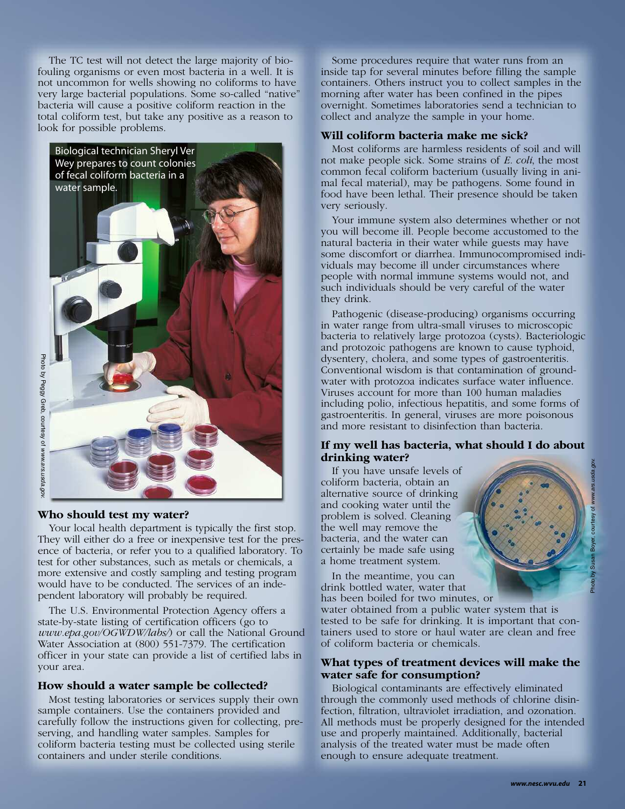The TC test will not detect the large majority of biofouling organisms or even most bacteria in a well. It is not uncommon for wells showing no coliforms to have very large bacterial populations. Some so-called "native" bacteria will cause a positive coliform reaction in the total coliform test, but take any positive as a reason to look for possible problems.



### **Who should test my water?**

Your local health department is typically the first stop. They will either do a free or inexpensive test for the presence of bacteria, or refer you to a qualified laboratory. To test for other substances, such as metals or chemicals, a more extensive and costly sampling and testing program would have to be conducted. The services of an independent laboratory will probably be required.

The U.S. Environmental Protection Agency offers a state-by-state listing of certification officers (go to *www.epa.gov/OGWDW/labs/*) or call the National Ground Water Association at (800) 551-7379. The certification officer in your state can provide a list of certified labs in your area.

### **How should a water sample be collected?**

Most testing laboratories or services supply their own sample containers. Use the containers provided and carefully follow the instructions given for collecting, preserving, and handling water samples. Samples for coliform bacteria testing must be collected using sterile containers and under sterile conditions.

Some procedures require that water runs from an inside tap for several minutes before filling the sample containers. Others instruct you to collect samples in the morning after water has been confined in the pipes overnight. Sometimes laboratories send a technician to collect and analyze the sample in your home.

### **Will coliform bacteria make me sick?**

Most coliforms are harmless residents of soil and will not make people sick. Some strains of *E. coli*, the most common fecal coliform bacterium (usually living in animal fecal material), may be pathogens. Some found in food have been lethal. Their presence should be taken very seriously.

Your immune system also determines whether or not you will become ill. People become accustomed to the natural bacteria in their water while guests may have some discomfort or diarrhea. Immunocompromised individuals may become ill under circumstances where people with normal immune systems would not, and such individuals should be very careful of the water they drink.

Pathogenic (disease-producing) organisms occurring in water range from ultra-small viruses to microscopic bacteria to relatively large protozoa (cysts). Bacteriologic and protozoic pathogens are known to cause typhoid, dysentery, cholera, and some types of gastroenteritis. Conventional wisdom is that contamination of groundwater with protozoa indicates surface water influence. Viruses account for more than 100 human maladies including polio, infectious hepatitis, and some forms of gastroenteritis. In general, viruses are more poisonous and more resistant to disinfection than bacteria.

## **If my well has bacteria, what should I do about drinking water?**

If you have unsafe levels of coliform bacteria, obtain an alternative source of drinking and cooking water until the problem is solved. Cleaning the well may remove the bacteria, and the water can certainly be made safe using a home treatment system.

In the meantime, you can drink bottled water, water that has been boiled for two minutes, or

water obtained from a public water system that is tested to be safe for drinking. It is important that containers used to store or haul water are clean and free of coliform bacteria or chemicals.

### **What types of treatment devices will make the water safe for consumption?**

Biological contaminants are effectively eliminated through the commonly used methods of chlorine disinfection, filtration, ultraviolet irradiation, and ozonation. All methods must be properly designed for the intended use and properly maintained. Additionally, bacterial analysis of the treated water must be made often enough to ensure adequate treatment.